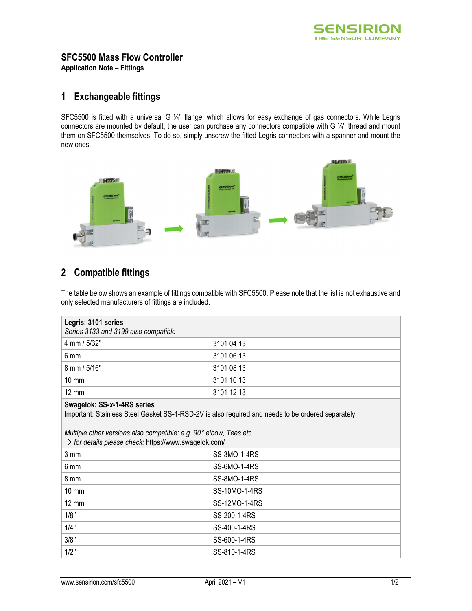

## **SFC5500 Mass Flow Controller**

**Application Note – Fittings** 

## **1 Exchangeable fittings**

SFC5500 is fitted with a universal G ¼'' flange, which allows for easy exchange of gas connectors. While Legris connectors are mounted by default, the user can purchase any connectors compatible with G ¼" thread and mount them on SFC5500 themselves. To do so, simply unscrew the fitted Legris connectors with a spanner and mount the new ones.



## **2 Compatible fittings**

The table below shows an example of fittings compatible with SFC5500. Please note that the list is not exhaustive and only selected manufacturers of fittings are included.

| Legris: 3101 series<br>Series 3133 and 3199 also compatible                                                                                                                                                                                                      |                     |  |
|------------------------------------------------------------------------------------------------------------------------------------------------------------------------------------------------------------------------------------------------------------------|---------------------|--|
| 4 mm / 5/32"                                                                                                                                                                                                                                                     | 3101 04 13          |  |
| 6 mm                                                                                                                                                                                                                                                             | 3101 06 13          |  |
| 8 mm / 5/16"                                                                                                                                                                                                                                                     | 3101 08 13          |  |
| 10 mm                                                                                                                                                                                                                                                            | 3101 10 13          |  |
| $12 \text{ mm}$                                                                                                                                                                                                                                                  | 3101 12 13          |  |
| Swagelok: SS-x-1-4RS series<br>Important: Stainless Steel Gasket SS-4-RSD-2V is also required and needs to be ordered separately.<br>Multiple other versions also compatible: e.g. 90° elbow, Tees etc.<br>> for details please check: https://www.swagelok.com/ |                     |  |
| 3 mm                                                                                                                                                                                                                                                             | SS-3MO-1-4RS        |  |
| 6 mm                                                                                                                                                                                                                                                             | <b>SS-6MO-1-4RS</b> |  |
| 8 mm                                                                                                                                                                                                                                                             | SS-8MO-1-4RS        |  |
| $10 \text{ mm}$                                                                                                                                                                                                                                                  | SS-10MO-1-4RS       |  |
| 12 mm                                                                                                                                                                                                                                                            | SS-12MO-1-4RS       |  |
| 1/8"                                                                                                                                                                                                                                                             | SS-200-1-4RS        |  |
| 1/4"                                                                                                                                                                                                                                                             | SS-400-1-4RS        |  |
| 3/8"                                                                                                                                                                                                                                                             | SS-600-1-4RS        |  |
| 1/2"                                                                                                                                                                                                                                                             |                     |  |